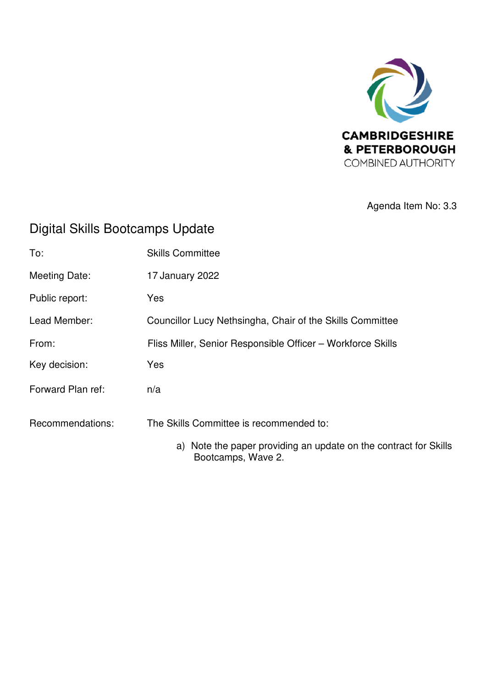

Agenda Item No: 3.3

### Digital Skills Bootcamps Update

| To:               | <b>Skills Committee</b>                                                                   |
|-------------------|-------------------------------------------------------------------------------------------|
| Meeting Date:     | 17 January 2022                                                                           |
| Public report:    | Yes                                                                                       |
| Lead Member:      | Councillor Lucy Nethsingha, Chair of the Skills Committee                                 |
| From:             | Fliss Miller, Senior Responsible Officer - Workforce Skills                               |
| Key decision:     | Yes                                                                                       |
| Forward Plan ref: | n/a                                                                                       |
| Recommendations:  | The Skills Committee is recommended to:                                                   |
|                   | Note the paper providing an update on the contract for Skills<br>a)<br>Bootcamps, Wave 2. |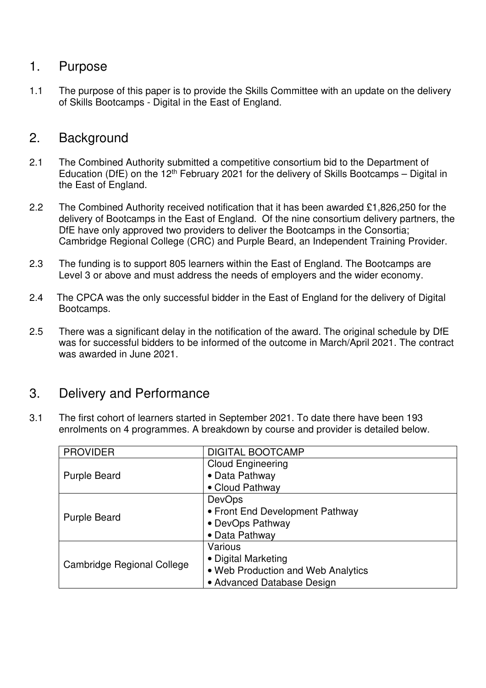#### 1. Purpose

1.1 The purpose of this paper is to provide the Skills Committee with an update on the delivery of Skills Bootcamps - Digital in the East of England.

#### 2. Background

- 2.1 The Combined Authority submitted a competitive consortium bid to the Department of Education (DfE) on the 12<sup>th</sup> February 2021 for the delivery of Skills Bootcamps – Digital in the East of England.
- 2.2 The Combined Authority received notification that it has been awarded £1,826,250 for the delivery of Bootcamps in the East of England. Of the nine consortium delivery partners, the DfE have only approved two providers to deliver the Bootcamps in the Consortia; Cambridge Regional College (CRC) and Purple Beard, an Independent Training Provider.
- 2.3 The funding is to support 805 learners within the East of England. The Bootcamps are Level 3 or above and must address the needs of employers and the wider economy.
- 2.4 The CPCA was the only successful bidder in the East of England for the delivery of Digital Bootcamps.
- 2.5 There was a significant delay in the notification of the award. The original schedule by DfE was for successful bidders to be informed of the outcome in March/April 2021. The contract was awarded in June 2021.

#### 3. Delivery and Performance

3.1 The first cohort of learners started in September 2021. To date there have been 193 enrolments on 4 programmes. A breakdown by course and provider is detailed below.

| <b>PROVIDER</b>                   | <b>DIGITAL BOOTCAMP</b>            |
|-----------------------------------|------------------------------------|
|                                   | <b>Cloud Engineering</b>           |
| <b>Purple Beard</b>               | • Data Pathway                     |
|                                   | • Cloud Pathway                    |
|                                   | <b>DevOps</b>                      |
|                                   | • Front End Development Pathway    |
| <b>Purple Beard</b>               | • DevOps Pathway                   |
|                                   | • Data Pathway                     |
|                                   | Various                            |
| <b>Cambridge Regional College</b> | • Digital Marketing                |
|                                   | . Web Production and Web Analytics |
|                                   | • Advanced Database Design         |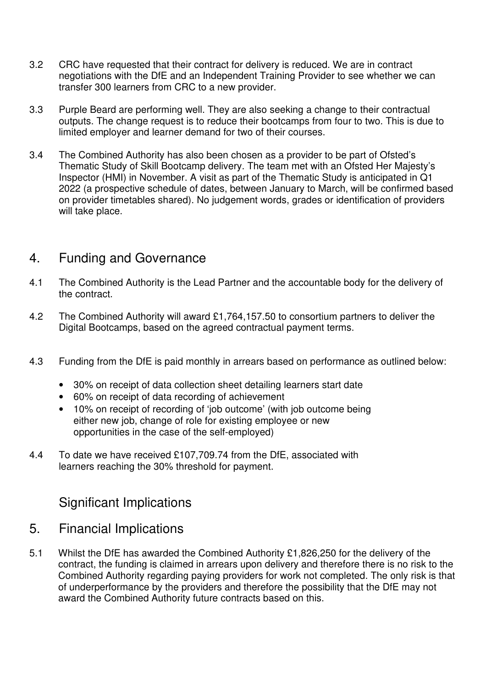- 3.2 CRC have requested that their contract for delivery is reduced. We are in contract negotiations with the DfE and an Independent Training Provider to see whether we can transfer 300 learners from CRC to a new provider.
- 3.3 Purple Beard are performing well. They are also seeking a change to their contractual outputs. The change request is to reduce their bootcamps from four to two. This is due to limited employer and learner demand for two of their courses.
- 3.4 The Combined Authority has also been chosen as a provider to be part of Ofsted's Thematic Study of Skill Bootcamp delivery. The team met with an Ofsted Her Majesty's Inspector (HMI) in November. A visit as part of the Thematic Study is anticipated in Q1 2022 (a prospective schedule of dates, between January to March, will be confirmed based on provider timetables shared). No judgement words, grades or identification of providers will take place.

#### 4. Funding and Governance

- 4.1 The Combined Authority is the Lead Partner and the accountable body for the delivery of the contract.
- 4.2 The Combined Authority will award £1,764,157.50 to consortium partners to deliver the Digital Bootcamps, based on the agreed contractual payment terms.
- 4.3 Funding from the DfE is paid monthly in arrears based on performance as outlined below:
	- 30% on receipt of data collection sheet detailing learners start date
	- 60% on receipt of data recording of achievement
	- 10% on receipt of recording of 'job outcome' (with job outcome being either new job, change of role for existing employee or new opportunities in the case of the self-employed)
- 4.4 To date we have received £107,709.74 from the DfE, associated with learners reaching the 30% threshold for payment.

### Significant Implications

- 5. Financial Implications
- 5.1 Whilst the DfE has awarded the Combined Authority £1,826,250 for the delivery of the contract, the funding is claimed in arrears upon delivery and therefore there is no risk to the Combined Authority regarding paying providers for work not completed. The only risk is that of underperformance by the providers and therefore the possibility that the DfE may not award the Combined Authority future contracts based on this.